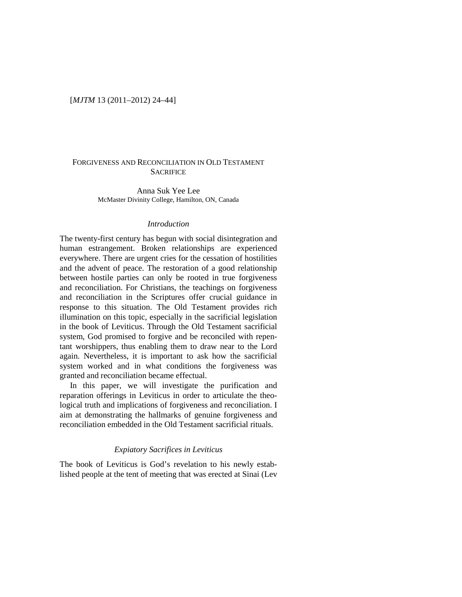# [*MJTM* 13 (2011–2012) 24–44]

# FORGIVENESS AND RECONCILIATION IN OLD TESTAMENT **SACRIFICE**

Anna Suk Yee Lee McMaster Divinity College, Hamilton, ON, Canada

### *Introduction*

The twenty-first century has begun with social disintegration and human estrangement. Broken relationships are experienced everywhere. There are urgent cries for the cessation of hostilities and the advent of peace. The restoration of a good relationship between hostile parties can only be rooted in true forgiveness and reconciliation. For Christians, the teachings on forgiveness and reconciliation in the Scriptures offer crucial guidance in response to this situation. The Old Testament provides rich illumination on this topic, especially in the sacrificial legislation in the book of Leviticus. Through the Old Testament sacrificial system, God promised to forgive and be reconciled with repentant worshippers, thus enabling them to draw near to the Lord again. Nevertheless, it is important to ask how the sacrificial system worked and in what conditions the forgiveness was granted and reconciliation became effectual.

In this paper, we will investigate the purification and reparation offerings in Leviticus in order to articulate the theological truth and implications of forgiveness and reconciliation. I aim at demonstrating the hallmarks of genuine forgiveness and reconciliation embedded in the Old Testament sacrificial rituals.

### *Expiatory Sacrifices in Leviticus*

The book of Leviticus is God's revelation to his newly established people at the tent of meeting that was erected at Sinai (Lev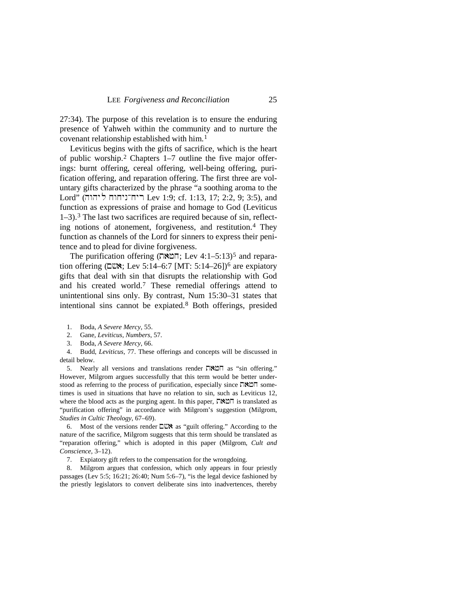27:34). The purpose of this revelation is to ensure the enduring presence of Yahweh within the community and to nurture the covenant relationship established with him.[1](#page-1-0)

Leviticus begins with the gifts of sacrifice, which is the heart of public worship.[2](#page-1-1) Chapters 1–7 outline the five major offerings: burnt offering, cereal offering, well-being offering, purification offering, and reparation offering. The first three are voluntary gifts characterized by the phrase "a soothing aroma to the  $Lord"$  (הוה ליהוה Lev 1:9; cf. 1:13, 17; 2:2, 9; 3:5), and function as expressions of praise and homage to God (Leviticus 1–3).[3](#page-1-2) The last two sacrifices are required because of sin, reflecting notions of atonement, forgiveness, and restitution.[4](#page-1-3) They function as channels of the Lord for sinners to express their penitence and to plead for divine forgiveness.

The purification offering (המאה; Lev 4:1-[5](#page-1-4):13)<sup>5</sup> and reparation offering ( $\square \nightharpoonup$ x; Lev 5:14–[6](#page-1-5):7 [MT: 5:14–26])<sup>6</sup> are expiatory gifts that deal with sin that disrupts the relationship with God and his created world.[7](#page-1-6) These remedial offerings attend to unintentional sins only. By contrast, Num 15:30–31 states that intentional sins cannot be expiated.[8](#page-1-7) Both offerings, presided

- 2. Gane, *Leviticus, Numbers*, 57.
- 3. Boda, *A Severe Mercy*, 66.

<span id="page-1-3"></span><span id="page-1-2"></span><span id="page-1-1"></span><span id="page-1-0"></span>4. Budd, *Leviticus*, 77. These offerings and concepts will be discussed in detail below.

<span id="page-1-4"></span>5. Nearly all versions and translations render  $\Box \boxtimes \Box \Box$  as "sin offering." However, Milgrom argues successfully that this term would be better understood as referring to the process of purification, especially since  $\nabla \mathbf{X} \mathbf{v}$  sometimes is used in situations that have no relation to sin, such as Leviticus 12, where the blood acts as the purging agent. In this paper,  $\Box \angle \Box \Box$  is translated as "purification offering" in accordance with Milgrom's suggestion (Milgrom, *Studies in Cultic Theology*, 67–69).

<span id="page-1-5"></span>6. Most of the versions render  $\square$  as "guilt offering." According to the nature of the sacrifice, Milgrom suggests that this term should be translated as "reparation offering," which is adopted in this paper (Milgrom, *Cult and Conscience*, 3–12).

7. Expiatory gift refers to the compensation for the wrongdoing.

<span id="page-1-7"></span><span id="page-1-6"></span>8. Milgrom argues that confession, which only appears in four priestly passages (Lev 5:5; 16:21; 26:40; Num 5:6–7), "is the legal device fashioned by the priestly legislators to convert deliberate sins into inadvertences, thereby

<sup>1.</sup> Boda, *A Severe Mercy*, 55.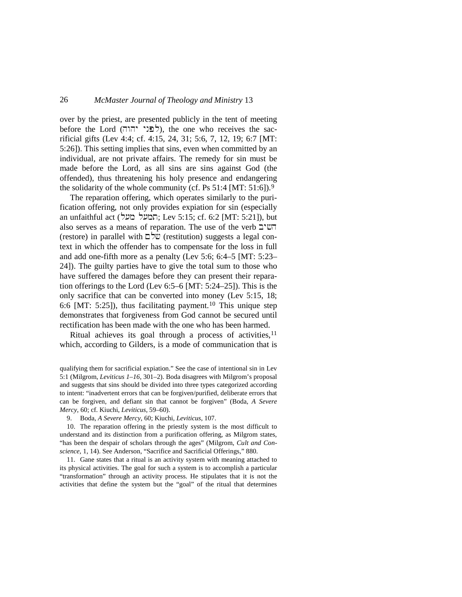over by the priest, are presented publicly in the tent of meeting before the Lord (לפני יהוה), the one who receives the sacrificial gifts (Lev 4:4; cf. 4:15, 24, 31; 5:6, 7, 12, 19; 6:7 [MT: 5:26]). This setting implies that sins, even when committed by an individual, are not private affairs. The remedy for sin must be made before the Lord, as all sins are sins against God (the offended), thus threatening his holy presence and endangering the solidarity of the whole community (cf. Ps  $51:4$  [MT:  $51:6$ ]).<sup>[9](#page-2-0)</sup>

The reparation offering, which operates similarly to the purification offering, not only provides expiation for sin (especially an unfaithful act (המעל מעל, Lev 5:15; cf. 6:2 [MT: 5:21]), but also serves as a means of reparation. The use of the verb  $\exists$ ' $\mathbb{U}$  $\top$ (restore) in parallel with  $\Box \forall \forall \forall$  (restitution) suggests a legal context in which the offender has to compensate for the loss in full and add one-fifth more as a penalty (Lev 5:6; 6:4–5 [MT: 5:23– 24]). The guilty parties have to give the total sum to those who have suffered the damages before they can present their reparation offerings to the Lord (Lev 6:5–6 [MT: 5:24–25]). This is the only sacrifice that can be converted into money (Lev 5:15, 18; 6:6 [MT: 5:25]), thus facilitating payment.<sup>10</sup> This unique step demonstrates that forgiveness from God cannot be secured until rectification has been made with the one who has been harmed.

Ritual achieves its goal through a process of activities,<sup>[11](#page-2-2)</sup> which, according to Gilders, is a mode of communication that is

qualifying them for sacrificial expiation." See the case of intentional sin in Lev 5:1 (Milgrom, *Leviticus 1–16*, 301–2). Boda disagrees with Milgrom's proposal and suggests that sins should be divided into three types categorized according to intent: "inadvertent errors that can be forgiven/purified, deliberate errors that can be forgiven, and defiant sin that cannot be forgiven" (Boda, *A Severe Mercy*, 60; cf. Kiuchi, *Leviticus*, 59–60).

9. Boda, *A Severe Mercy*, 60; Kiuchi, *Leviticus*, 107.

<span id="page-2-1"></span><span id="page-2-0"></span>10. The reparation offering in the priestly system is the most difficult to understand and its distinction from a purification offering, as Milgrom states, "has been the despair of scholars through the ages" (Milgrom, *Cult and Conscience*, 1, 14). See Anderson, "Sacrifice and Sacrificial Offerings," 880.

<span id="page-2-2"></span>11. Gane states that a ritual is an activity system with meaning attached to its physical activities. The goal for such a system is to accomplish a particular "transformation" through an activity process. He stipulates that it is not the activities that define the system but the "goal" of the ritual that determines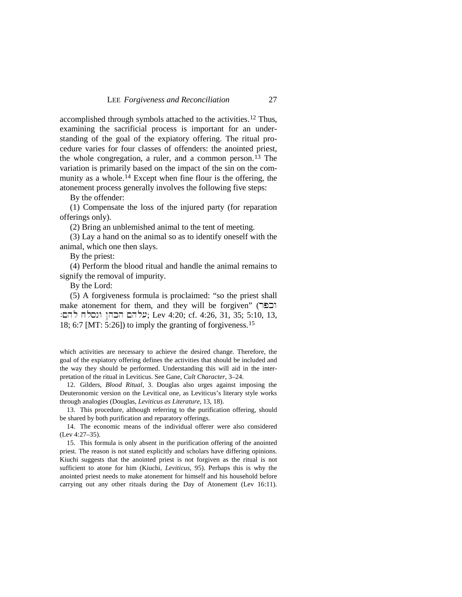accomplished through symbols attached to the activities.[12](#page-3-0) Thus, examining the sacrificial process is important for an understanding of the goal of the expiatory offering. The ritual procedure varies for four classes of offenders: the anointed priest, the whole congregation, a ruler, and a common person.[13](#page-3-1) The variation is primarily based on the impact of the sin on the com-munity as a whole.<sup>[14](#page-3-2)</sup> Except when fine flour is the offering, the atonement process generally involves the following five steps:

By the offender:

(1) Compensate the loss of the injured party (for reparation offerings only).

(2) Bring an unblemished animal to the tent of meeting.

(3) Lay a hand on the animal so as to identify oneself with the animal, which one then slays.

By the priest:

(4) Perform the blood ritual and handle the animal remains to signify the removal of impurity.

By the Lord:

(5) A forgiveness formula is proclaimed: "so the priest shall  $m$ ake atonement for them, and they will be forgiven" (רבר עלהם הכהן ונסלח להם: Lev 4:20; cf. 4:26, 31, 35; 5:10, 13, 18; 6:7 [MT: 5:26]) to imply the granting of forgiveness.[15](#page-3-3)

which activities are necessary to achieve the desired change. Therefore, the goal of the expiatory offering defines the activities that should be included and the way they should be performed. Understanding this will aid in the interpretation of the ritual in Leviticus. See Gane, *Cult Character*, 3–24.

<span id="page-3-0"></span>12. Gilders, *Blood Ritual*, 3. Douglas also urges against imposing the Deuteronomic version on the Levitical one, as Leviticus's literary style works through analogies (Douglas, *Leviticus as Literature*, 13, 18).

<span id="page-3-1"></span>13. This procedure, although referring to the purification offering, should be shared by both purification and reparatory offerings.

<span id="page-3-2"></span>14. The economic means of the individual offerer were also considered (Lev 4:27–35).

<span id="page-3-3"></span>15. This formula is only absent in the purification offering of the anointed priest. The reason is not stated explicitly and scholars have differing opinions. Kiuchi suggests that the anointed priest is not forgiven as the ritual is not sufficient to atone for him (Kiuchi, *Leviticus*, 95). Perhaps this is why the anointed priest needs to make atonement for himself and his household before carrying out any other rituals during the Day of Atonement (Lev 16:11).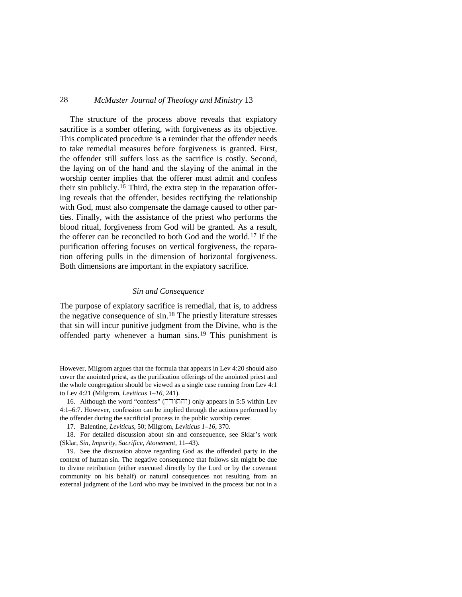The structure of the process above reveals that expiatory sacrifice is a somber offering, with forgiveness as its objective. This complicated procedure is a reminder that the offender needs to take remedial measures before forgiveness is granted. First, the offender still suffers loss as the sacrifice is costly. Second, the laying on of the hand and the slaying of the animal in the worship center implies that the offerer must admit and confess their sin publicly.[16](#page-4-0) Third, the extra step in the reparation offering reveals that the offender, besides rectifying the relationship with God, must also compensate the damage caused to other parties. Finally, with the assistance of the priest who performs the blood ritual, forgiveness from God will be granted. As a result, the offerer can be reconciled to both God and the world.[17](#page-4-1) If the purification offering focuses on vertical forgiveness, the reparation offering pulls in the dimension of horizontal forgiveness. Both dimensions are important in the expiatory sacrifice.

#### *Sin and Consequence*

The purpose of expiatory sacrifice is remedial, that is, to address the negative consequence of  $\sin^{18}$  $\sin^{18}$  $\sin^{18}$ . The priestly literature stresses that sin will incur punitive judgment from the Divine, who is the offended party whenever a human sins.[19](#page-4-3) This punishment is

However, Milgrom argues that the formula that appears in Lev 4:20 should also cover the anointed priest, as the purification offerings of the anointed priest and the whole congregation should be viewed as a single case running from Lev 4:1 to Lev 4:21 (Milgrom, *Leviticus 1–16*, 241).

<span id="page-4-0"></span>16. Although the word "confess" (והתודה) only appears in 5:5 within Lev 4:1–6:7. However, confession can be implied through the actions performed by the offender during the sacrificial process in the public worship center.

17. Balentine, *Leviticus*, 50; Milgrom, *Leviticus 1–16*, 370.

<span id="page-4-2"></span><span id="page-4-1"></span>18. For detailed discussion about sin and consequence, see Sklar's work (Sklar, *Sin, Impurity, Sacrifice, Atonement*, 11–43).

<span id="page-4-3"></span>19. See the discussion above regarding God as the offended party in the context of human sin. The negative consequence that follows sin might be due to divine retribution (either executed directly by the Lord or by the covenant community on his behalf) or natural consequences not resulting from an external judgment of the Lord who may be involved in the process but not in a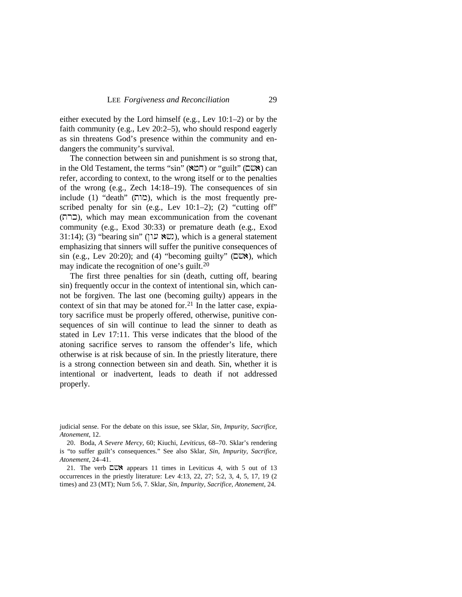either executed by the Lord himself (e.g., Lev 10:1–2) or by the faith community (e.g., Lev 20:2–5), who should respond eagerly as sin threatens God's presence within the community and endangers the community's survival.

The connection between sin and punishment is so strong that, in the Old Testament, the terms "sin" ( $\mathbb{M} \cap$ ) or "guilt" ( $\Box \mathbb{W}$ ) can refer, according to context, to the wrong itself or to the penalties of the wrong (e.g., Zech 14:18–19). The consequences of sin include (1) "death" (מוה), which is the most frequently prescribed penalty for sin (e.g., Lev 10:1–2); (2) "cutting off" (trk), which may mean excommunication from the covenant community (e.g., Exod 30:33) or premature death (e.g., Exod 31:14); (3) "bearing sin" ( $\mathbb{W}$ ( (W), which is a general statement emphasizing that sinners will suffer the punitive consequences of sin (e.g., Lev 20:20); and (4) "becoming guilty"  $(\Box \Box \Diamond)$ , which may indicate the recognition of one's guilt[.20](#page-5-0)

The first three penalties for sin (death, cutting off, bearing sin) frequently occur in the context of intentional sin, which cannot be forgiven. The last one (becoming guilty) appears in the context of sin that may be atoned for.<sup>[21](#page-5-1)</sup> In the latter case, expiatory sacrifice must be properly offered, otherwise, punitive consequences of sin will continue to lead the sinner to death as stated in Lev 17:11. This verse indicates that the blood of the atoning sacrifice serves to ransom the offender's life, which otherwise is at risk because of sin. In the priestly literature, there is a strong connection between sin and death. Sin, whether it is intentional or inadvertent, leads to death if not addressed properly.

judicial sense. For the debate on this issue, see Sklar, *Sin, Impurity, Sacrifice, Atonement*, 12.

<span id="page-5-0"></span>20. Boda, *A Severe Mercy*, 60; Kiuchi, *Leviticus*, 68–70. Sklar's rendering is "to suffer guilt's consequences." See also Sklar, *Sin, Impurity, Sacrifice, Atonement*, 24–41.

<span id="page-5-1"></span>21. The verb  $\square$   $\square$  appears 11 times in Leviticus 4, with 5 out of 13 occurrences in the priestly literature: Lev 4:13, 22, 27; 5:2, 3, 4, 5, 17, 19 (2 times) and 23 (MT); Num 5:6, 7. Sklar, *Sin, Impurity, Sacrifice, Atonement*, 24.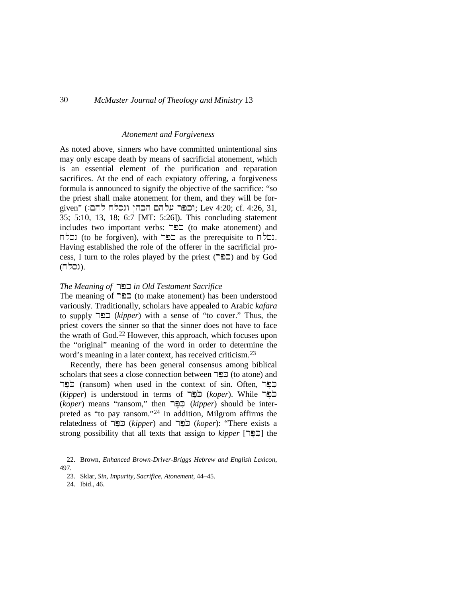#### *Atonement and Forgiveness*

As noted above, sinners who have committed unintentional sins may only escape death by means of sacrificial atonement, which is an essential element of the purification and reparation sacrifices. At the end of each expiatory offering, a forgiveness formula is announced to signify the objective of the sacrifice: "so the priest shall make atonement for them, and they will be for- $\gamma$ וכפר עלהם הכהן ונסלח להם: Lev 4:20; cf. 4:26, 31, 35; 5:10, 13, 18; 6:7 [MT: 5:26]). This concluding statement includes two important verbs: כפר (to make atonement) and נסלח (to be forgiven), with בפר as the prerequisite to  $\Box$ Having established the role of the offerer in the sacrificial process, I turn to the roles played by the priest (כפר) and by God (נסלח).

### *The Meaning of* rpk *in Old Testament Sacrifice*

The meaning of  $\Box$ כפר (to make atonement) has been understood variously. Traditionally, scholars have appealed to Arabic *kafara* to supply **CEL** (*kipper*) with a sense of "to cover." Thus, the priest covers the sinner so that the sinner does not have to face the wrath of God.[22](#page-6-0) However, this approach, which focuses upon the "original" meaning of the word in order to determine the word's meaning in a later context, has received criticism.<sup>[23](#page-6-1)</sup>

Recently, there has been general consensus among biblical scholars that sees a close connection between  $\exists \Xi$  (to atone) and בְּפֵר (ransom) when used in the context of sin. Often, כַפֵּר  $(kipper)$  is understood in terms of כֹפֵר (*koper*). While  $\Box$ (*koper*) means "ransom," then rpe%ki@ (*kipper*) should be interpreted as "to pay ransom."[24](#page-6-2) In addition, Milgrom affirms the relatedness of rpe%ki@ (*kipper*) and rpeko@ (*koper*): "There exists a strong possibility that all texts that assign to *kipper* [הַפֵּר] the

<span id="page-6-2"></span><span id="page-6-1"></span><span id="page-6-0"></span><sup>22.</sup> Brown, *Enhanced Brown-Driver-Briggs Hebrew and English Lexicon*, 497.

<sup>23.</sup> Sklar, *Sin, Impurity, Sacrifice, Atonement*, 44–45.

<sup>24.</sup> Ibid., 46.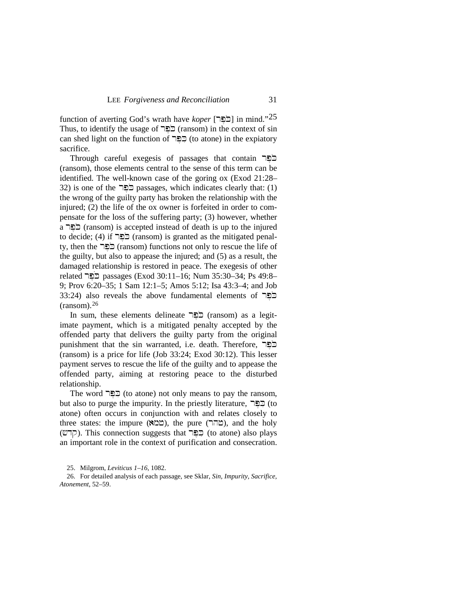function of averting God's wrath have *koper* [רכבי] in mind."[25](#page-7-0) Thus, to identify the usage of  $\Xi$ כל can shed light on the function of  $\Xi$  $\Xi$  (to atone) in the expiatory sacrifice.

Through careful exegesis of passages that contain  $\Xi$ (ransom), those elements central to the sense of this term can be identified. The well-known case of the goring ox (Exod 21:28– 32) is one of the **ELE** passages, which indicates clearly that: (1) the wrong of the guilty party has broken the relationship with the injured; (2) the life of the ox owner is forfeited in order to compensate for the loss of the suffering party; (3) however, whether a cxeepted instead of death is up to the injured to decide; (4) if  $\Xi$ פר (ransom) is granted as the mitigated penalty, then the  $\Xi$ בר (ransom) functions not only to rescue the life of the guilty, but also to appease the injured; and (5) as a result, the damaged relationship is restored in peace. The exegesis of other  $related$  related reassages (Exod 30:11–16; Num 35:30–34; Ps 49:8– 9; Prov 6:20–35; 1 Sam 12:1–5; Amos 5:12; Isa 43:3–4; and Job 33:24) also reveals the above fundamental elements of  $\Xi$ (ransom). [26](#page-7-1)

In sum, these elements delineate <u>הפ</u>ר (ransom) as a legitimate payment, which is a mitigated penalty accepted by the offended party that delivers the guilty party from the original punishment that the sin warranted, i.e. death. Therefore, בַּפֵּר (ransom) is a price for life (Job 33:24; Exod 30:12). This lesser payment serves to rescue the life of the guilty and to appease the offended party, aiming at restoring peace to the disturbed relationship.

The word  $\Xi$  $\Xi$  (to atone) not only means to pay the ransom, but also to purge the impurity. In the priestly literature,  $\nabla \mathbf{E}$  (to atone) often occurs in conjunction with and relates closely to three states: the impure (שהר), the pure (הור), and the holy (קרש). This connection suggests that  $\exists \Xi$  (to atone) also plays an important role in the context of purification and consecration.

25. Milgrom, *Leviticus 1–16*, 1082.

<span id="page-7-1"></span><span id="page-7-0"></span>26. For detailed analysis of each passage, see Sklar, *Sin, Impurity, Sacrifice, Atonement*, 52–59.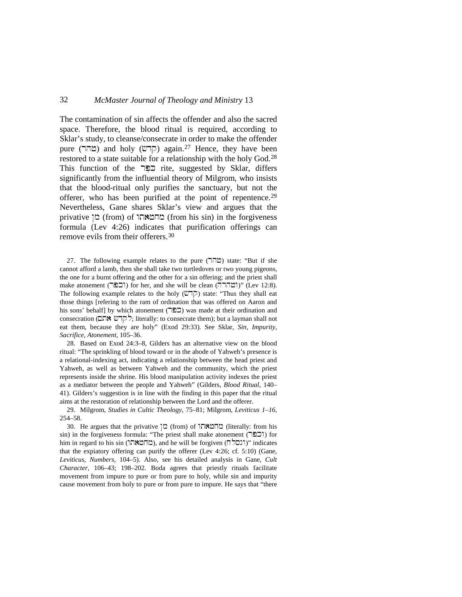The contamination of sin affects the offender and also the sacred space. Therefore, the blood ritual is required, according to Sklar's study, to cleanse/consecrate in order to make the offender pure (מהר) and holy ( $\varphi$ קרש) again.<sup>[27](#page-8-0)</sup> Hence, they have been restored to a state suitable for a relationship with the holy God.[28](#page-8-1) This function of the  $\Box \Box \Box$  rite, suggested by Sklar, differs significantly from the influential theory of Milgrom, who insists that the blood-ritual only purifies the sanctuary, but not the offerer, who has been purified at the point of repentence.<sup>[29](#page-8-2)</sup> Nevertheless, Gane shares Sklar's view and argues that the privative  $\infty$  (from) of מחמאתו (from his sin) in the forgiveness formula (Lev 4:26) indicates that purification offerings can remove evils from their offerers.[30](#page-8-3)

<span id="page-8-0"></span>27. The following example relates to the pure  $(T \cap \mathbb{Z})$  state: "But if she cannot afford a lamb, then she shall take two turtledoves or two young pigeons, the one for a burnt offering and the other for a sin offering; and the priest shall make atonement (רבבר) for her, and she will be clean (וֹצהרה)" (Lev 12:8). The following example relates to the holy  $(\mathbb{U}\top)$  state: "Thus they shall eat those things [refering to the ram of ordination that was offered on Aaron and his sons' behalf] by which atonement (כפר) was made at their ordination and consecration (קדש אתם; literally: to consecrate them); but a layman shall not eat them, because they are holy" (Exod 29:33). See Sklar, *Sin, Impurity, Sacrifice, Atonement*, 105–36.

<span id="page-8-1"></span>28. Based on Exod 24:3–8, Gilders has an alternative view on the blood ritual: "The sprinkling of blood toward or in the abode of Yahweh's presence is a relational-indexing act, indicating a relationship between the head priest and Yahweh, as well as between Yahweh and the community, which the priest represents inside the shrine. His blood manipulation activity indexes the priest as a mediator between the people and Yahweh" (Gilders, *Blood Ritual*, 140– 41). Gilders's suggestion is in line with the finding in this paper that the ritual aims at the restoration of relationship between the Lord and the offerer.

<span id="page-8-2"></span>29. Milgrom, *Studies in Cultic Theology*, 75–81; Milgrom, *Leviticus 1–16*, 254–58.

<span id="page-8-3"></span>30. He argues that the privative מהמאה (from) of המאהון (literally: from his sin) in the forgiveness formula: "The priest shall make atonement (וכפר) for him in regard to his sin (מחמאה), and he will be forgiven ( $\Box$ ונסל)" indicates that the expiatory offering can purify the offerer (Lev 4:26; cf. 5:10) (Gane, *Leviticus, Numbers*, 104–5). Also, see his detailed analysis in Gane, *Cult Character*, 106–43; 198–202. Boda agrees that priestly rituals facilitate movement from impure to pure or from pure to holy, while sin and impurity cause movement from holy to pure or from pure to impure. He says that "there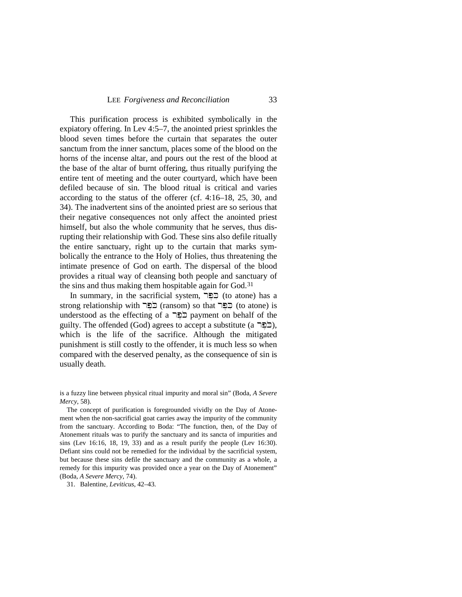This purification process is exhibited symbolically in the expiatory offering. In Lev 4:5–7, the anointed priest sprinkles the blood seven times before the curtain that separates the outer sanctum from the inner sanctum, places some of the blood on the horns of the incense altar, and pours out the rest of the blood at the base of the altar of burnt offering, thus ritually purifying the entire tent of meeting and the outer courtyard, which have been defiled because of sin. The blood ritual is critical and varies according to the status of the offerer (cf. 4:16–18, 25, 30, and 34). The inadvertent sins of the anointed priest are so serious that their negative consequences not only affect the anointed priest himself, but also the whole community that he serves, thus disrupting their relationship with God. These sins also defile ritually the entire sanctuary, right up to the curtain that marks symbolically the entrance to the Holy of Holies, thus threatening the intimate presence of God on earth. The dispersal of the blood provides a ritual way of cleansing both people and sanctuary of the sins and thus making them hospitable again for God.<sup>[31](#page-9-0)</sup>

In summary, in the sacrificial system,  $\Box \Box \Box$  (to atone) has a strong relationship with  $\Xi$ פֵר (ransom) so that  $\Xi$ understood as the effecting of a  $\Box$  payment on behalf of the guilty. The offended (God) agrees to accept a substitute (a  $\Xi$ כֶּבֶּ $\Xi$ ), which is the life of the sacrifice. Although the mitigated punishment is still costly to the offender, it is much less so when compared with the deserved penalty, as the consequence of sin is usually death.

<span id="page-9-0"></span>31. Balentine, *Leviticus*, 42–43.

is a fuzzy line between physical ritual impurity and moral sin" (Boda, *A Severe Mercy*, 58).

The concept of purification is foregrounded vividly on the Day of Atonement when the non-sacrificial goat carries away the impurity of the community from the sanctuary. According to Boda: "The function, then, of the Day of Atonement rituals was to purify the sanctuary and its sancta of impurities and sins (Lev 16:16, 18, 19, 33) and as a result purify the people (Lev 16:30). Defiant sins could not be remedied for the individual by the sacrificial system, but because these sins defile the sanctuary and the community as a whole, a remedy for this impurity was provided once a year on the Day of Atonement" (Boda, *A Severe Mercy*, 74).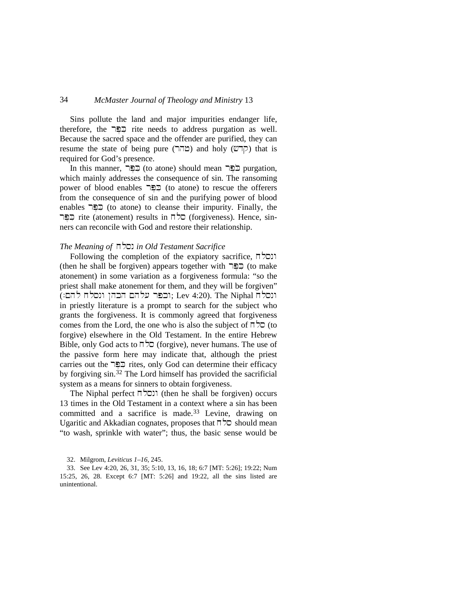Sins pollute the land and major impurities endanger life, therefore, the  $\Box \Box$  rite needs to address purgation as well. Because the sacred space and the offender are purified, they can resume the state of being pure (מהר) and holy (קדש) that is required for God's presence.

In this manner, פֵפֵּר (to atone) should mean בפֵר purgation, which mainly addresses the consequence of sin. The ransoming power of blood enables  $\Box \Xi$  (to atone) to rescue the offerers from the consequence of sin and the purifying power of blood enables בְּפֵּר (to atone) to cleanse their impurity. Finally, the רפֵר rite (atonement) results in  $\Box$ כל (forgiveness). Hence, sinners can reconcile with God and restore their relationship.

### *The Meaning of* xlsn *in Old Testament Sacrifice*

Following the completion of the expiatory sacrifice,  $\overline{\Gamma}$ (then he shall be forgiven) appears together with  $\Box \Box \Box$  (to make atonement) in some variation as a forgiveness formula: "so the priest shall make atonement for them, and they will be forgiven" (וכפר עלהם הכהן ונסלח להם:); Lev 4:20). The Niphal r in priestly literature is a prompt to search for the subject who grants the forgiveness. It is commonly agreed that forgiveness comes from the Lord, the one who is also the subject of  $\nabla$  (to forgive) elsewhere in the Old Testament. In the entire Hebrew Bible, only God acts to  $\overline{\sqcap}$   $\overline{\smash{\triangleright}}$  (forgive), never humans. The use of the passive form here may indicate that, although the priest carries out the  $\Xi$  rites, only God can determine their efficacy by forgiving sin.[32](#page-10-0) The Lord himself has provided the sacrificial system as a means for sinners to obtain forgiveness.

The Niphal perfect  $\overline{\Pi}$ ונסל $\overline{\Pi}$  (then he shall be forgiven) occurs 13 times in the Old Testament in a context where a sin has been committed and a sacrifice is made. [33](#page-10-1) Levine, drawing on Ugaritic and Akkadian cognates, proposes that  $\Box$   $\Box$  should mean "to wash, sprinkle with water"; thus, the basic sense would be

<span id="page-10-1"></span><span id="page-10-0"></span>33. See Lev 4:20, 26, 31, 35; 5:10, 13, 16, 18; 6:7 [MT: 5:26]; 19:22; Num 15:25, 26, 28. Except 6:7 [MT: 5:26] and 19:22, all the sins listed are unintentional.

<sup>32.</sup> Milgrom, *Leviticus 1–16*, 245.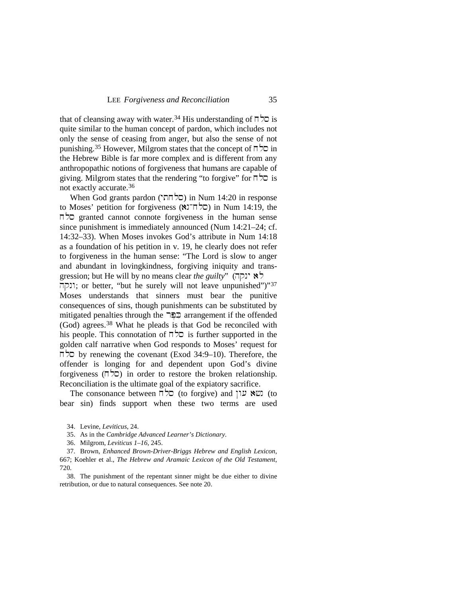that of cleansing away with water.<sup>[34](#page-11-0)</sup> His understanding of  $\overline{\mathsf{d}}$  is is quite similar to the human concept of pardon, which includes not only the sense of ceasing from anger, but also the sense of not punishing.<sup>[35](#page-11-1)</sup> However, Milgrom states that the concept of  $\Box$   $\Box$  in the Hebrew Bible is far more complex and is different from any anthropopathic notions of forgiveness that humans are capable of giving. Milgrom states that the rendering "to forgive" for  $\Box$   $\Box$  is not exactly accurate[.36](#page-11-2)

When God grants pardon (סלחתי) in Num 14:20 in response to Moses' petition for forgiveness ( $\forall$ <sup>1</sup>  $\exists$   $\forall$  $\exists$ ) in Num 14:19, the granted cannot connote forgiveness in the human sense since punishment is immediately announced (Num 14:21–24; cf. 14:32–33). When Moses invokes God's attribute in Num 14:18 as a foundation of his petition in v. 19, he clearly does not refer to forgiveness in the human sense: "The Lord is slow to anger and abundant in lovingkindness, forgiving iniquity and transgression; but He will by no means clear *the guilty*" (לא ינקה ונקה; or better, "but he surely will not leave unpunished")"[37](#page-11-3) Moses understands that sinners must bear the punitive consequences of sins, though punishments can be substituted by mitigated penalties through the **Fermangement if the offended** (God) agrees.[38](#page-11-4) What he pleads is that God be reconciled with his people. This connotation of  $\overline{n}$   $\overline{z}$  is further supported in the golden calf narrative when God responds to Moses' request for by renewing the covenant (Exod 34:9–10). Therefore, the offender is longing for and dependent upon God's divine forgiveness ( $\Box$ ) in order to restore the broken relationship. Reconciliation is the ultimate goal of the expiatory sacrifice.

The consonance between  $\overline{n}$   $\overline{z}$  (to forgive) and  $\overline{w}$  (to (to bear sin) finds support when these two terms are used

<sup>34.</sup> Levine, *Leviticus*, 24.

<sup>35.</sup> As in the *Cambridge Advanced Learner's Dictionary*.

<sup>36.</sup> Milgrom, *Leviticus 1–16*, 245.

<span id="page-11-3"></span><span id="page-11-2"></span><span id="page-11-1"></span><span id="page-11-0"></span><sup>37.</sup> Brown, *Enhanced Brown-Driver-Briggs Hebrew and English Lexicon*, 667; Koehler et al., *The Hebrew and Aramaic Lexicon of the Old Testament*, 720.

<span id="page-11-4"></span><sup>38.</sup> The punishment of the repentant sinner might be due either to divine retribution, or due to natural consequences. See note 20.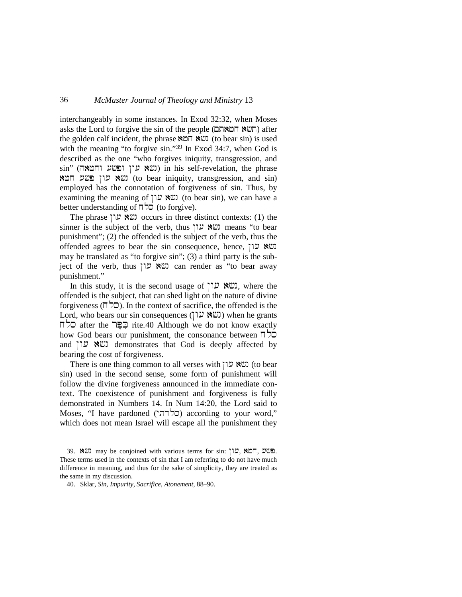interchangeably in some instances. In Exod 32:32, when Moses asks the Lord to forgive the sin of the people (תשא המאהם) after the golden calf incident, the phrase  $\aleph \Box \Box \cong \cong$  (to bear sin) is used with the meaning "to forgive sin."<sup>[39](#page-12-0)</sup> In Exod 34:7, when God is described as the one "who forgives iniquity, transgression, and  $\sin$ " (ושא עון ופשע וחטאה) in his self-revelation, the phrase שא עון פשע חמא (to bear iniquity, transgression, and sin) employed has the connotation of forgiveness of sin. Thus, by examining the meaning of  $\mathbb{W}$  ( $\mathbb{W}$  to bear sin), we can have a better understanding of  $\Box \Box$  (to forgive).

The phrase  $\mathbb{W}$  cocurs in three distinct contexts: (1) the sinner is the subject of the verb, thus  $\forall x \in \mathbb{R}$  means "to bear punishment"; (2) the offended is the subject of the verb, thus the offended agrees to bear the sin consequence, hence,  $\Box$  עון may be translated as "to forgive sin"; (3) a third party is the subject of the verb, thus  $\Box$   $\Box$   $\Box$  can render as "to bear away punishment."

In this study, it is the second usage of  $\mathbb{U}$ . We here the offended is the subject, that can shed light on the nature of divine forgiveness ( $\Box$  $\Box$ ). In the context of sacrifice, the offended is the Lord, who bears our sin consequences ("שׁא עון") when he grants xls after the rpe%ki@ rite.[40](#page-12-1) Although we do not know exactly how God bears our punishment, the consonance between  $\Box$ and  $\mathbb{U} \times \mathbb{U}$  demonstrates that God is deeply affected by bearing the cost of forgiveness.

There is one thing common to all verses with  $\mathbb{U} \mathbb{X}$  (to bear sin) used in the second sense, some form of punishment will follow the divine forgiveness announced in the immediate context. The coexistence of punishment and forgiveness is fully demonstrated in Numbers 14. In Num 14:20, the Lord said to  $M$ oses, "I have pardoned (סלחתי) according to your word," which does not mean Israel will escape all the punishment they

<span id="page-12-0"></span><sup>39.</sup> ששע may be conjoined with various terms for sin: פּשׁע, אָבּה, שָׁ These terms used in the contexts of sin that I am referring to do not have much difference in meaning, and thus for the sake of simplicity, they are treated as the same in my discussion.

<span id="page-12-1"></span><sup>40.</sup> Sklar, *Sin, Impurity, Sacrifice, Atonement*, 88–90.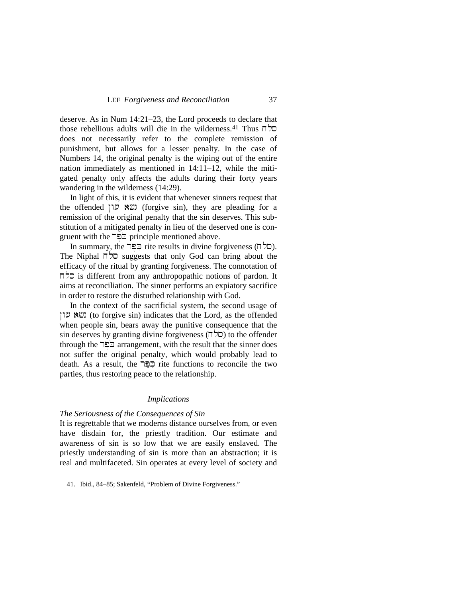deserve. As in Num 14:21–23, the Lord proceeds to declare that  $t$ hose rebellious adults will die in the wilderness.<sup>[41](#page-13-0)</sup> Thus  $\pi$ does not necessarily refer to the complete remission of punishment, but allows for a lesser penalty. In the case of Numbers 14, the original penalty is the wiping out of the entire nation immediately as mentioned in 14:11–12, while the mitigated penalty only affects the adults during their forty years wandering in the wilderness (14:29).

In light of this, it is evident that whenever sinners request that the offended  $\forall x \in \mathbb{R}$  (forgive sin), they are pleading for a remission of the original penalty that the sin deserves. This substitution of a mitigated penalty in lieu of the deserved one is congruent with the <u>כפר</u> principle mentioned above.

In summary, the  $\Xi$  rite results in divine forgiveness ( $\Box$ ). The Niphal  $\Box$   $\Box$  suggests that only God can bring about the efficacy of the ritual by granting forgiveness. The connotation of is different from any anthropopathic notions of pardon. It aims at reconciliation. The sinner performs an expiatory sacrifice in order to restore the disturbed relationship with God.

In the context of the sacrificial system, the second usage of שא עון (to forgive sin) indicates that the Lord, as the offended when people sin, bears away the punitive consequence that the sin deserves by granting divine forgiveness  $(\Box \Box)$  to the offender through the <u>כֹפ</u>ּר arrangement, with the result that the sinner does not suffer the original penalty, which would probably lead to death. As a result, the  $\Xi$  rite functions to reconcile the two parties, thus restoring peace to the relationship.

#### *Implications*

#### *The Seriousness of the Consequences of Sin*

It is regrettable that we moderns distance ourselves from, or even have disdain for, the priestly tradition. Our estimate and awareness of sin is so low that we are easily enslaved. The priestly understanding of sin is more than an abstraction; it is real and multifaceted. Sin operates at every level of society and

<span id="page-13-0"></span>41. Ibid., 84–85; Sakenfeld, "Problem of Divine Forgiveness."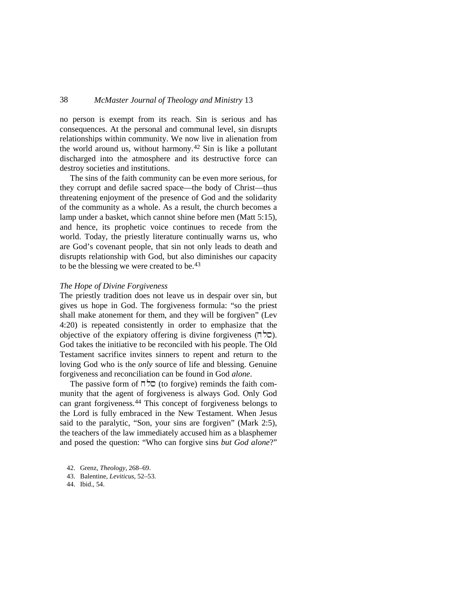no person is exempt from its reach. Sin is serious and has consequences. At the personal and communal level, sin disrupts relationships within community. We now live in alienation from the world around us, without harmony.[42](#page-14-0) Sin is like a pollutant discharged into the atmosphere and its destructive force can destroy societies and institutions.

The sins of the faith community can be even more serious, for they corrupt and defile sacred space—the body of Christ—thus threatening enjoyment of the presence of God and the solidarity of the community as a whole. As a result, the church becomes a lamp under a basket, which cannot shine before men (Matt 5:15), and hence, its prophetic voice continues to recede from the world. Today, the priestly literature continually warns us, who are God's covenant people, that sin not only leads to death and disrupts relationship with God, but also diminishes our capacity to be the blessing we were created to be. [43](#page-14-1)

### *The Hope of Divine Forgiveness*

The priestly tradition does not leave us in despair over sin, but gives us hope in God. The forgiveness formula: "so the priest shall make atonement for them, and they will be forgiven" (Lev 4:20) is repeated consistently in order to emphasize that the objective of the expiatory offering is divine forgiveness  $(T\bar{z})$ . God takes the initiative to be reconciled with his people. The Old Testament sacrifice invites sinners to repent and return to the loving God who is the *only* source of life and blessing. Genuine forgiveness and reconciliation can be found in God *alone*.

The passive form of  $\overline{\sqcap}$   $\overline{\smash{\triangleright}}$  (to forgive) reminds the faith community that the agent of forgiveness is always God. Only God can grant forgiveness.[44](#page-14-2) This concept of forgiveness belongs to the Lord is fully embraced in the New Testament. When Jesus said to the paralytic, "Son, your sins are forgiven" (Mark 2:5), the teachers of the law immediately accused him as a blasphemer and posed the question: "Who can forgive sins *but God alone*?"

<span id="page-14-2"></span>44. Ibid., 54.

<span id="page-14-0"></span><sup>42.</sup> Grenz, *Theology*, 268–69.

<span id="page-14-1"></span><sup>43.</sup> Balentine, *Leviticus*, 52–53.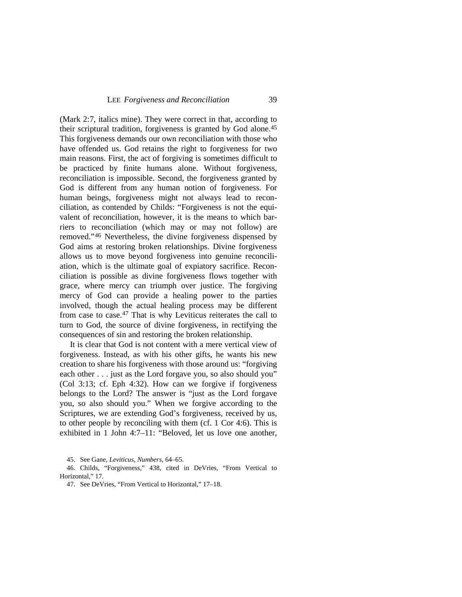(Mark 2:7, italics mine). They were correct in that, according to their scriptural tradition, forgiveness is granted by God alone.[45](#page-15-0) This forgiveness demands our own reconciliation with those who have offended us. God retains the right to forgiveness for two main reasons. First, the act of forgiving is sometimes difficult to be practiced by finite humans alone. Without forgiveness, reconciliation is impossible. Second, the forgiveness granted by God is different from any human notion of forgiveness. For human beings, forgiveness might not always lead to reconciliation, as contended by Childs: "Forgiveness is not the equivalent of reconciliation, however, it is the means to which barriers to reconciliation (which may or may not follow) are removed."[46](#page-15-1) Nevertheless, the divine forgiveness dispensed by God aims at restoring broken relationships. Divine forgiveness allows us to move beyond forgiveness into genuine reconciliation, which is the ultimate goal of expiatory sacrifice. Reconciliation is possible as divine forgiveness flows together with grace, where mercy can triumph over justice. The forgiving mercy of God can provide a healing power to the parties involved, though the actual healing process may be different from case to case.<sup>[47](#page-15-2)</sup> That is why Leviticus reiterates the call to turn to God, the source of divine forgiveness, in rectifying the consequences of sin and restoring the broken relationship.

It is clear that God is not content with a mere vertical view of forgiveness. Instead, as with his other gifts, he wants his new creation to share his forgiveness with those around us: "forgiving each other . . . just as the Lord forgave you, so also should you" (Col 3:13; cf. Eph 4:32). How can we forgive if forgiveness belongs to the Lord? The answer is "just as the Lord forgave you, so also should you." When we forgive according to the Scriptures, we are extending God's forgiveness, received by us, to other people by reconciling with them (cf. 1 Cor 4:6). This is exhibited in 1 John 4:7–11: "Beloved, let us love one another,

<span id="page-15-2"></span><span id="page-15-1"></span><span id="page-15-0"></span>46. Childs, "Forgiveness," 438, cited in DeVries, "From Vertical to Horizontal," 17.

47. See DeVries, "From Vertical to Horizontal," 17–18.

<sup>45.</sup> See Gane, *Leviticus, Numbers*, 64–65.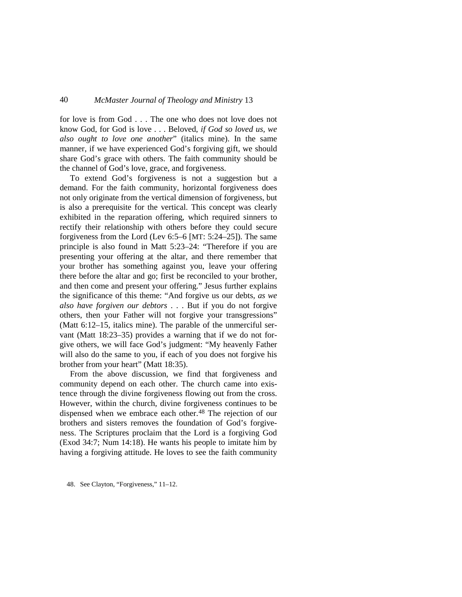for love is from God . . . The one who does not love does not know God, for God is love . . . Beloved, *if God so loved us, we also ought to love one another*" (italics mine). In the same manner, if we have experienced God's forgiving gift, we should share God's grace with others. The faith community should be the channel of God's love, grace, and forgiveness.

To extend God's forgiveness is not a suggestion but a demand. For the faith community, horizontal forgiveness does not only originate from the vertical dimension of forgiveness, but is also a prerequisite for the vertical. This concept was clearly exhibited in the reparation offering, which required sinners to rectify their relationship with others before they could secure forgiveness from the Lord (Lev 6:5–6 [MT: 5:24–25]). The same principle is also found in Matt 5:23–24: "Therefore if you are presenting your offering at the altar, and there remember that your brother has something against you, leave your offering there before the altar and go; first be reconciled to your brother, and then come and present your offering." Jesus further explains the significance of this theme: "And forgive us our debts, *as we also have forgiven our debtors* . . . But if you do not forgive others, then your Father will not forgive your transgressions" (Matt 6:12–15, italics mine). The parable of the unmerciful servant (Matt 18:23–35) provides a warning that if we do not forgive others, we will face God's judgment: "My heavenly Father will also do the same to you, if each of you does not forgive his brother from your heart" (Matt 18:35).

From the above discussion, we find that forgiveness and community depend on each other. The church came into existence through the divine forgiveness flowing out from the cross. However, within the church, divine forgiveness continues to be dispensed when we embrace each other.<sup>[48](#page-16-0)</sup> The rejection of our brothers and sisters removes the foundation of God's forgiveness. The Scriptures proclaim that the Lord is a forgiving God (Exod 34:7; Num 14:18). He wants his people to imitate him by having a forgiving attitude. He loves to see the faith community

<span id="page-16-0"></span>48. See Clayton, "Forgiveness," 11–12.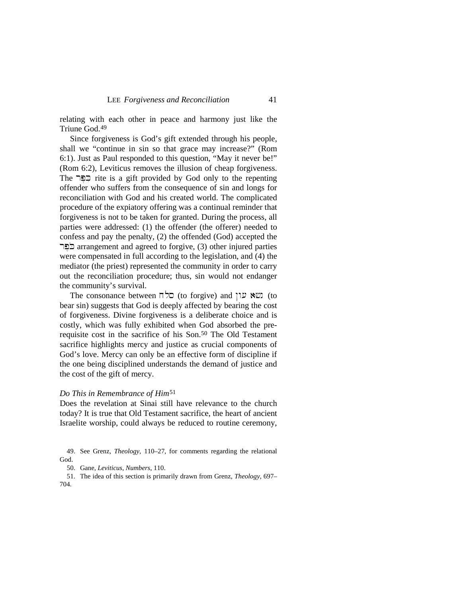relating with each other in peace and harmony just like the Triune God[.49](#page-17-0)

Since forgiveness is God's gift extended through his people, shall we "continue in sin so that grace may increase?" (Rom 6:1). Just as Paul responded to this question, "May it never be!" (Rom 6:2), Leviticus removes the illusion of cheap forgiveness. The הַפֵּר rite is a gift provided by God only to the repenting offender who suffers from the consequence of sin and longs for reconciliation with God and his created world. The complicated procedure of the expiatory offering was a continual reminder that forgiveness is not to be taken for granted. During the process, all parties were addressed: (1) the offender (the offerer) needed to confess and pay the penalty, (2) the offended (God) accepted the בבר arrangement and agreed to forgive, (3) other injured parties were compensated in full according to the legislation, and (4) the mediator (the priest) represented the community in order to carry out the reconciliation procedure; thus, sin would not endanger the community's survival.

The consonance between  $\Box$ כל (to forgive) and  $\Box$  (to to bear sin) suggests that God is deeply affected by bearing the cost of forgiveness. Divine forgiveness is a deliberate choice and is costly, which was fully exhibited when God absorbed the pre-requisite cost in the sacrifice of his Son.<sup>[50](#page-17-1)</sup> The Old Testament sacrifice highlights mercy and justice as crucial components of God's love. Mercy can only be an effective form of discipline if the one being disciplined understands the demand of justice and the cost of the gift of mercy.

#### *Do This in Remembrance of Him*[51](#page-17-2)

Does the revelation at Sinai still have relevance to the church today? It is true that Old Testament sacrifice, the heart of ancient Israelite worship, could always be reduced to routine ceremony,

50. Gane, *Leviticus, Numbers*, 110.

<span id="page-17-2"></span><span id="page-17-1"></span>51. The idea of this section is primarily drawn from Grenz, *Theology*, 697– 704.

<span id="page-17-0"></span><sup>49.</sup> See Grenz, *Theology*, 110–27, for comments regarding the relational God.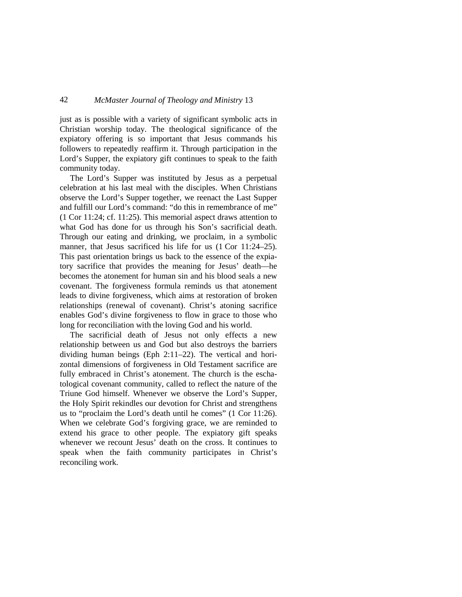just as is possible with a variety of significant symbolic acts in Christian worship today. The theological significance of the expiatory offering is so important that Jesus commands his followers to repeatedly reaffirm it. Through participation in the Lord's Supper, the expiatory gift continues to speak to the faith community today.

The Lord's Supper was instituted by Jesus as a perpetual celebration at his last meal with the disciples. When Christians observe the Lord's Supper together, we reenact the Last Supper and fulfill our Lord's command: "do this in remembrance of me" (1 Cor 11:24; cf. 11:25). This memorial aspect draws attention to what God has done for us through his Son's sacrificial death. Through our eating and drinking, we proclaim, in a symbolic manner, that Jesus sacrificed his life for us  $(1 \text{ Cor } 11:24-25)$ . This past orientation brings us back to the essence of the expiatory sacrifice that provides the meaning for Jesus' death—he becomes the atonement for human sin and his blood seals a new covenant. The forgiveness formula reminds us that atonement leads to divine forgiveness, which aims at restoration of broken relationships (renewal of covenant). Christ's atoning sacrifice enables God's divine forgiveness to flow in grace to those who long for reconciliation with the loving God and his world.

The sacrificial death of Jesus not only effects a new relationship between us and God but also destroys the barriers dividing human beings (Eph 2:11–22). The vertical and horizontal dimensions of forgiveness in Old Testament sacrifice are fully embraced in Christ's atonement. The church is the eschatological covenant community, called to reflect the nature of the Triune God himself. Whenever we observe the Lord's Supper, the Holy Spirit rekindles our devotion for Christ and strengthens us to "proclaim the Lord's death until he comes" (1 Cor 11:26). When we celebrate God's forgiving grace, we are reminded to extend his grace to other people. The expiatory gift speaks whenever we recount Jesus' death on the cross. It continues to speak when the faith community participates in Christ's reconciling work.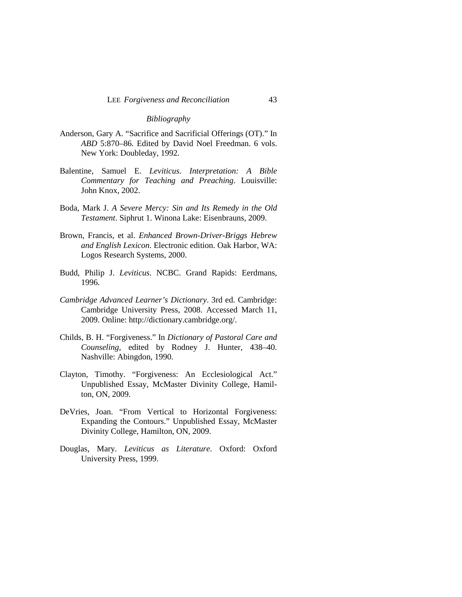#### *Bibliography*

- Anderson, Gary A. "Sacrifice and Sacrificial Offerings (OT)." In *ABD* 5:870–86. Edited by David Noel Freedman. 6 vols. New York: Doubleday, 1992.
- Balentine, Samuel E. *Leviticus. Interpretation: A Bible Commentary for Teaching and Preaching*. Louisville: John Knox, 2002.
- Boda, Mark J. *A Severe Mercy: Sin and Its Remedy in the Old Testament*. Siphrut 1. Winona Lake: Eisenbrauns, 2009.
- Brown, Francis, et al. *Enhanced Brown-Driver-Briggs Hebrew and English Lexicon*. Electronic edition. Oak Harbor, WA: Logos Research Systems, 2000.
- Budd, Philip J. *Leviticus*. NCBC. Grand Rapids: Eerdmans, 1996.
- *Cambridge Advanced Learner's Dictionary*. 3rd ed. Cambridge: Cambridge University Press, 2008. Accessed March 11, 2009. Online: http://dictionary.cambridge.org/.
- Childs, B. H. "Forgiveness." In *Dictionary of Pastoral Care and Counseling*, edited by Rodney J. Hunter, 438–40. Nashville: Abingdon, 1990.
- Clayton, Timothy. "Forgiveness: An Ecclesiological Act." Unpublished Essay, McMaster Divinity College, Hamilton, ON, 2009.
- DeVries, Joan. "From Vertical to Horizontal Forgiveness: Expanding the Contours." Unpublished Essay, McMaster Divinity College, Hamilton, ON, 2009.
- Douglas, Mary. *Leviticus as Literature*. Oxford: Oxford University Press, 1999.